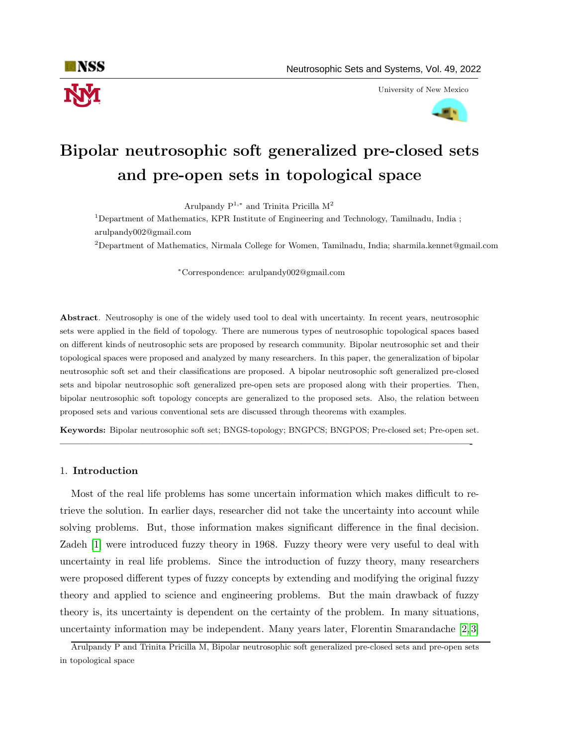

University of New Mexico



# Bipolar neutrosophic soft generalized pre-closed sets and pre-open sets in topological space

Arulpandy  $P^{1,*}$  and Trinita Pricilla M<sup>2</sup>

<sup>1</sup>Department of Mathematics, KPR Institute of Engineering and Technology, Tamilnadu, India ; arulpandy002@gmail.com

<sup>2</sup>Department of Mathematics, Nirmala College for Women, Tamilnadu, India; sharmila.kennet@gmail.com

<sup>∗</sup>Correspondence: arulpandy002@gmail.com

Abstract. Neutrosophy is one of the widely used tool to deal with uncertainty. In recent years, neutrosophic sets were applied in the field of topology. There are numerous types of neutrosophic topological spaces based on different kinds of neutrosophic sets are proposed by research community. Bipolar neutrosophic set and their topological spaces were proposed and analyzed by many researchers. In this paper, the generalization of bipolar neutrosophic soft set and their classifications are proposed. A bipolar neutrosophic soft generalized pre-closed sets and bipolar neutrosophic soft generalized pre-open sets are proposed along with their properties. Then, bipolar neutrosophic soft topology concepts are generalized to the proposed sets. Also, the relation between proposed sets and various conventional sets are discussed through theorems with examples.

Keywords: Bipolar neutrosophic soft set; BNGS-topology; BNGPCS; BNGPOS; Pre-closed set; Pre-open set. —————————————————————————————————————————-

## 1. Introduction

Most of the real life problems has some uncertain information which makes difficult to retrieve the solution. In earlier days, researcher did not take the uncertainty into account while solving problems. But, those information makes significant difference in the final decision. Zadeh [\[1\]](#page-12-0) were introduced fuzzy theory in 1968. Fuzzy theory were very useful to deal with uncertainty in real life problems. Since the introduction of fuzzy theory, many researchers were proposed different types of fuzzy concepts by extending and modifying the original fuzzy theory and applied to science and engineering problems. But the main drawback of fuzzy theory is, its uncertainty is dependent on the certainty of the problem. In many situations, uncertainty information may be independent. Many years later, Florentin Smarandache [\[2,](#page-12-1) [3\]](#page-12-2)

Arulpandy P and Trinita Pricilla M, Bipolar neutrosophic soft generalized pre-closed sets and pre-open sets in topological space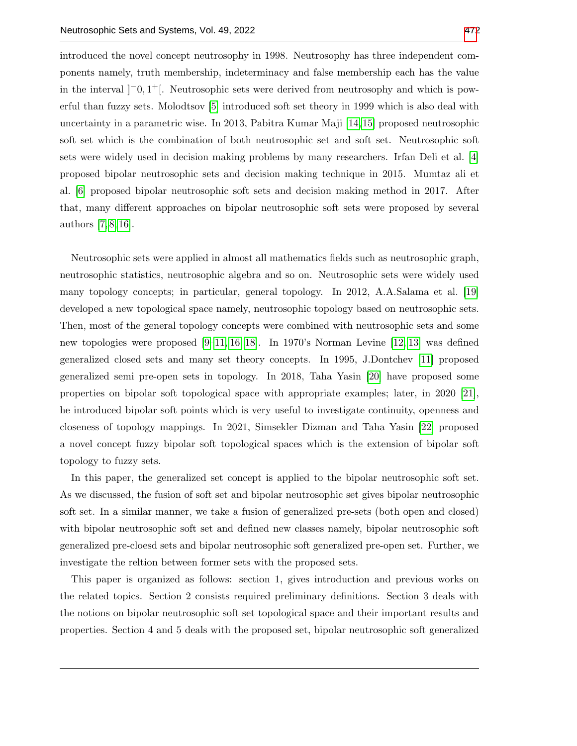introduced the novel concept neutrosophy in 1998. Neutrosophy has three independent components namely, truth membership, indeterminacy and false membership each has the value in the interval  $[-0,1^+]$ . Neutrosophic sets were derived from neutrosophy and which is powerful than fuzzy sets. Molodtsov [\[5\]](#page-12-3) introduced soft set theory in 1999 which is also deal with uncertainty in a parametric wise. In 2013, Pabitra Kumar Maji [\[14,](#page-13-1)[15\]](#page-13-2) proposed neutrosophic soft set which is the combination of both neutrosophic set and soft set. Neutrosophic soft sets were widely used in decision making problems by many researchers. Irfan Deli et al. [\[4\]](#page-12-4) proposed bipolar neutrosophic sets and decision making technique in 2015. Mumtaz ali et al. [\[6\]](#page-12-5) proposed bipolar neutrosophic soft sets and decision making method in 2017. After that, many different approaches on bipolar neutrosophic soft sets were proposed by several authors [\[7,](#page-12-6) [8,](#page-12-7) [16\]](#page-13-3).

Neutrosophic sets were applied in almost all mathematics fields such as neutrosophic graph, neutrosophic statistics, neutrosophic algebra and so on. Neutrosophic sets were widely used many topology concepts; in particular, general topology. In 2012, A.A.Salama et al. [\[19\]](#page-13-4) developed a new topological space namely, neutrosophic topology based on neutrosophic sets. Then, most of the general topology concepts were combined with neutrosophic sets and some new topologies were proposed [\[9–](#page-12-8)[11,](#page-12-9) [16,](#page-13-3) [18\]](#page-13-5). In 1970's Norman Levine [\[12,](#page-13-6) [13\]](#page-13-7) was defined generalized closed sets and many set theory concepts. In 1995, J.Dontchev [\[11\]](#page-12-9) proposed generalized semi pre-open sets in topology. In 2018, Taha Yasin [\[20\]](#page-13-8) have proposed some properties on bipolar soft topological space with appropriate examples; later, in 2020 [\[21\]](#page-13-9), he introduced bipolar soft points which is very useful to investigate continuity, openness and closeness of topology mappings. In 2021, Simsekler Dizman and Taha Yasin [\[22\]](#page-13-10) proposed a novel concept fuzzy bipolar soft topological spaces which is the extension of bipolar soft topology to fuzzy sets.

In this paper, the generalized set concept is applied to the bipolar neutrosophic soft set. As we discussed, the fusion of soft set and bipolar neutrosophic set gives bipolar neutrosophic soft set. In a similar manner, we take a fusion of generalized pre-sets (both open and closed) with bipolar neutrosophic soft set and defined new classes namely, bipolar neutrosophic soft generalized pre-cloesd sets and bipolar neutrosophic soft generalized pre-open set. Further, we investigate the reltion between former sets with the proposed sets.

This paper is organized as follows: section 1, gives introduction and previous works on the related topics. Section 2 consists required preliminary definitions. Section 3 deals with the notions on bipolar neutrosophic soft set topological space and their important results and properties. Section 4 and 5 deals with the proposed set, bipolar neutrosophic soft generalized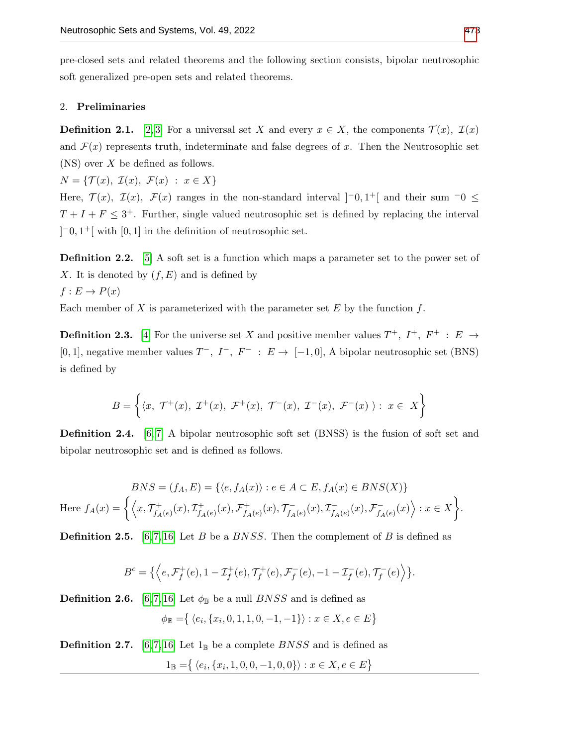pre-closed sets and related theorems and the following section consists, bipolar neutrosophic soft generalized pre-open sets and related theorems.

#### 2. Preliminaries

**Definition 2.1.** [\[2,](#page-12-1)3] For a universal set X and every  $x \in X$ , the components  $\mathcal{T}(x)$ ,  $\mathcal{I}(x)$ and  $\mathcal{F}(x)$  represents truth, indeterminate and false degrees of x. Then the Neutrosophic set  $(NS)$  over X be defined as follows.

 $N = \{ \mathcal{T}(x), \mathcal{I}(x), \mathcal{F}(x) : x \in X \}$ 

Here,  $\mathcal{T}(x)$ ,  $\mathcal{I}(x)$ ,  $\mathcal{F}(x)$  ranges in the non-standard interval  $[-0,1^+]$  and their sum  $-0 \leq$  $T + I + F \leq 3^+$ . Further, single valued neutrosophic set is defined by replacing the interval  $[-0, 1^+]$  with  $[0, 1]$  in the definition of neutrosophic set.

**Definition 2.2.** [\[5\]](#page-12-3) A soft set is a function which maps a parameter set to the power set of X. It is denoted by  $(f, E)$  and is defined by  $f: E \to P(x)$ 

Each member of X is parameterized with the parameter set E by the function  $f$ .

**Definition 2.3.** [\[4\]](#page-12-4) For the universe set X and positive member values  $T^+$ ,  $I^+$ ,  $F^+$  :  $E \rightarrow$ [0, 1], negative member values  $T^-, I^-, F^- : E \to [-1,0], A$  bipolar neutrosophic set (BNS) is defined by

$$
B = \left\{ \langle x, \; \mathcal{T}^+(x), \; \mathcal{I}^+(x), \; \mathcal{F}^+(x), \; \mathcal{T}^-(x), \; \mathcal{I}^-(x), \; \mathcal{F}^-(x) \; \rangle : \; x \in X \right\}
$$

**Definition 2.4.** [\[6,](#page-12-5)7] A bipolar neutrosophic soft set (BNSS) is the fusion of soft set and bipolar neutrosophic set and is defined as follows.

$$
BNS = (f_A, E) = \{ \langle e, f_A(x) \rangle : e \in A \subset E, f_A(x) \in BNS(X) \}
$$
  
Here  $f_A(x) = \left\{ \left\langle x, \mathcal{T}_{f_A(e)}^+(x), \mathcal{T}_{f_A(e)}^+(x), \mathcal{F}_{f_A(e)}^+(x), \mathcal{T}_{f_A(e)}^-(x), \mathcal{F}_{f_A(e)}^-(x), \mathcal{F}_{f_A(e)}^-(x) \right\rangle : x \in X \right\}.$ 

**Definition 2.5.** [\[6,](#page-12-5)7, [16\]](#page-13-3) Let B be a BNSS. Then the complement of B is defined as

$$
B^{c} = \{ \langle e, \mathcal{F}^{+}_{f}(e), 1 - \mathcal{I}^{+}_{f}(e), \mathcal{T}^{+}_{f}(e), \mathcal{F}^{-}_{f}(e), -1 - \mathcal{I}^{-}_{f}(e), \mathcal{T}^{-}_{f}(e) \rangle \}.
$$

**Definition 2.6.** [\[6,](#page-12-5)7,16] Let  $\phi_{\mathbb{B}}$  be a null BNSS and is defined as

$$
\phi_{\mathbb{B}} = \{ \langle e_i, \{x_i, 0, 1, 1, 0, -1, -1\} \rangle : x \in X, e \in E \}
$$

**Definition 2.7.** [\[6,](#page-12-5)7,16] Let  $1_{\mathbb{B}}$  be a complete *BNSS* and is defined as

$$
1_{\mathbb{B}} = \{ \langle e_i, \{x_i, 1, 0, 0, -1, 0, 0\} \rangle : x \in X, e \in E \}
$$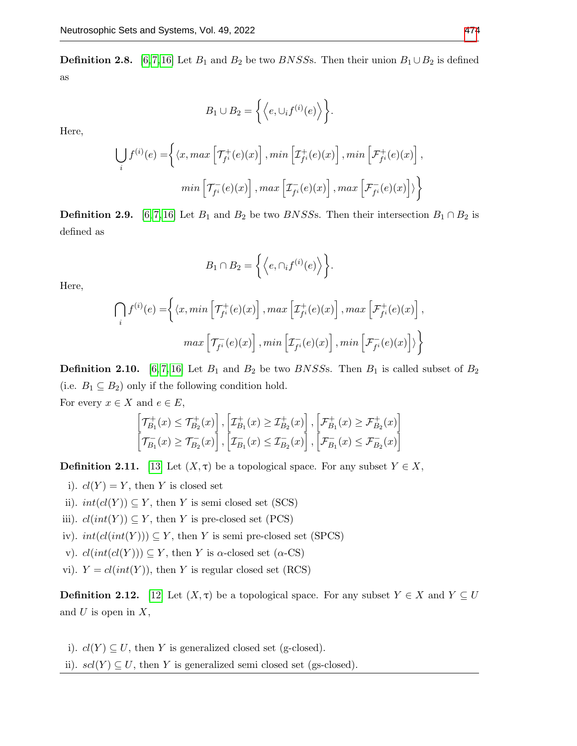**Definition 2.8.** [\[6,](#page-12-5)[7,](#page-12-6)[16\]](#page-13-3) Let  $B_1$  and  $B_2$  be two *BNSSs*. Then their union  $B_1 \cup B_2$  is defined as

$$
B_1 \cup B_2 = \left\{ \left\langle e, \cup_i f^{(i)}(e) \right\rangle \right\}.
$$

Here,

$$
\bigcup_{i} f^{(i)}(e) = \left\{ \langle x, \max \left[ \mathcal{T}_{f^i}^+(e)(x) \right], \min \left[ \mathcal{I}_{f^i}^+(e)(x) \right], \min \left[ \mathcal{F}_{f^i}^+(e)(x) \right], \right\}
$$

$$
min \left[ \mathcal{T}_{f^i}^-(e)(x) \right], \max \left[ \mathcal{I}_{f^i}^-(e)(x) \right], \max \left[ \mathcal{F}_{f^i}^-(e)(x) \right] \rangle \right\}
$$

**Definition 2.9.** [\[6,](#page-12-5)7,16] Let  $B_1$  and  $B_2$  be two *BNSSs*. Then their intersection  $B_1 \cap B_2$  is defined as

$$
B_1 \cap B_2 = \left\{ \left\langle e, \cap_i f^{(i)}(e) \right\rangle \right\}.
$$

Here,

$$
\bigcap_{i} f^{(i)}(e) = \left\{ \langle x, \min\left[\mathcal{T}_{f^i}^+(e)(x)\right], \max\left[\mathcal{I}_{f^i}^+(e)(x)\right], \max\left[\mathcal{F}_{f^i}^+(e)(x)\right], \right\}
$$

$$
max\left[\mathcal{T}_{f^i}^-(e)(x)\right], \min\left[\mathcal{I}_{f^i}^-(e)(x)\right], \min\left[\mathcal{F}_{f^i}^-(e)(x)\right] \rangle \right\}
$$

**Definition 2.10.** [\[6,](#page-12-5)7, [16\]](#page-13-3) Let  $B_1$  and  $B_2$  be two *BNSSs*. Then  $B_1$  is called subset of  $B_2$ (i.e.  $B_1 \subseteq B_2$ ) only if the following condition hold.

For every  $x \in X$  and  $e \in E$ ,

$$
\begin{bmatrix} \mathcal{T}_{B_1}^+(x) \leq \mathcal{T}_{B_2}^+(x) \end{bmatrix}, \begin{bmatrix} \mathcal{I}_{B_1}^+(x) \geq \mathcal{I}_{B_2}^+(x) \end{bmatrix}, \begin{bmatrix} \mathcal{F}_{B_1}^+(x) \geq \mathcal{F}_{B_2}^+(x) \end{bmatrix}
$$

$$
\begin{bmatrix} \mathcal{T}_{B_1}^-(x) \geq \mathcal{T}_{B_2}^-(x) \end{bmatrix}, \begin{bmatrix} \mathcal{T}_{B_1}^-(x) \leq \mathcal{T}_{B_2}^-(x) \end{bmatrix}, \begin{bmatrix} \mathcal{F}_{B_1}^-(x) \leq \mathcal{F}_{B_2}^-(x) \end{bmatrix}
$$

**Definition 2.11.** [\[13\]](#page-13-7) Let  $(X, \tau)$  be a topological space. For any subset  $Y \in X$ ,

- i).  $cl(Y) = Y$ , then Y is closed set
- ii).  $int(cl(Y)) \subseteq Y$ , then Y is semi closed set (SCS)
- iii).  $cl(int(Y)) \subseteq Y$ , then Y is pre-closed set (PCS)
- iv).  $int(cl(int(Y))) \subseteq Y$ , then Y is semi pre-closed set (SPCS)
- v).  $cl(int(cl(Y))) \subseteq Y$ , then Y is  $\alpha$ -closed set  $(\alpha$ -CS)
- vi).  $Y = cl(int(Y))$ , then Y is regular closed set (RCS)

**Definition 2.12.** [\[12\]](#page-13-6) Let  $(X, \tau)$  be a topological space. For any subset  $Y \in X$  and  $Y \subseteq U$ and  $U$  is open in  $X$ ,

- i).  $cl(Y) \subseteq U$ , then Y is generalized closed set (g-closed).
- ii).  $scl(Y) \subseteq U$ , then Y is generalized semi closed set (gs-closed).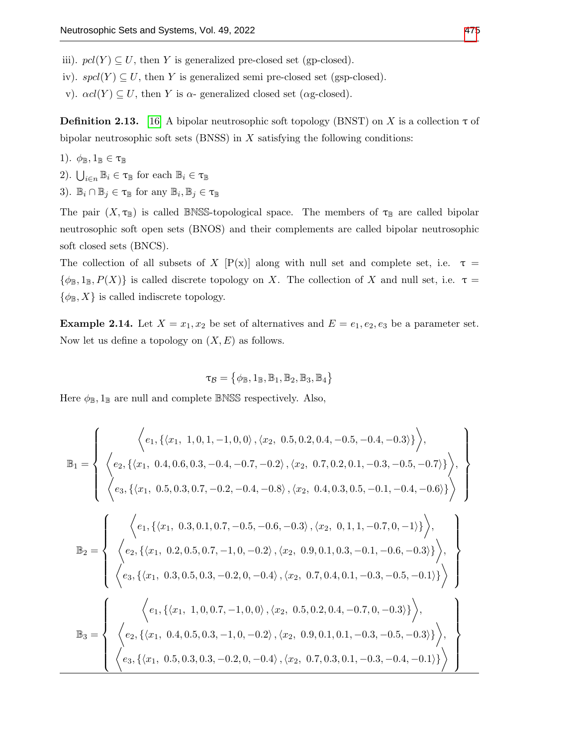iii).  $\text{pol}(Y) \subseteq U$ , then Y is generalized pre-closed set (gp-closed).

iv).  $spcl(Y) \subseteq U$ , then Y is generalized semi pre-closed set (gsp-closed).

v).  $\alpha$ cl(Y) ⊆ U, then Y is  $\alpha$ - generalized closed set ( $\alpha$ g-closed).

**Definition 2.13.** [\[16\]](#page-13-3) A bipolar neutrosophic soft topology (BNST) on X is a collection  $\tau$  of bipolar neutrosophic soft sets (BNSS) in  $X$  satisfying the following conditions:

- 1).  $\phi_{\mathbb{B}}, 1_{\mathbb{B}} \in \tau_{\mathbb{B}}$
- 2).  $\bigcup_{i \in n} \mathbb{B}_i \in \tau_{\mathbb{B}}$  for each  $\mathbb{B}_i \in \tau_{\mathbb{B}}$
- 3).  $\mathbb{B}_i \cap \mathbb{B}_j \in \tau_{\mathbb{B}}$  for any  $\mathbb{B}_i, \mathbb{B}_j \in \tau_{\mathbb{B}}$

The pair  $(X, \tau_{\mathbb{B}})$  is called BNSS-topological space. The members of  $\tau_{\mathbb{B}}$  are called bipolar neutrosophic soft open sets (BNOS) and their complements are called bipolar neutrosophic soft closed sets (BNCS).

The collection of all subsets of X  $[P(x)]$  along with null set and complete set, i.e.  $\tau =$  $\{\phi_{\mathbb{B}}, 1_{\mathbb{B}}, P(X)\}\$ is called discrete topology on X. The collection of X and null set, i.e.  $\tau =$  $\{\phi_{\mathbb{B}}, X\}$  is called indiscrete topology.

<span id="page-4-0"></span>**Example 2.14.** Let  $X = x_1, x_2$  be set of alternatives and  $E = e_1, e_2, e_3$  be a parameter set. Now let us define a topology on  $(X, E)$  as follows.

$$
\tau_\mathcal{B} = \big\{\phi_\mathbb{B}, 1_\mathbb{B}, \mathbb{B}_1, \mathbb{B}_2, \mathbb{B}_3, \mathbb{B}_4 \big\}
$$

Here  $\phi_{\mathbb{B}}$ ,  $1_{\mathbb{B}}$  are null and complete BNSS respectively. Also,

$$
\mathbb{B}_1 = \left\{ \begin{array}{c} \left\langle e_1, \{ \langle x_1, 1, 0, 1, -1, 0, 0 \rangle, \langle x_2, 0.5, 0.2, 0.4, -0.5, -0.4, -0.3 \rangle \} \right\rangle, \\ \left\langle e_2, \{ \langle x_1, 0.4, 0.6, 0.3, -0.4, -0.7, -0.2 \rangle, \langle x_2, 0.7, 0.2, 0.1, -0.3, -0.5, -0.7 \rangle \} \right\rangle, \\ \left\langle e_3, \{ \langle x_1, 0.5, 0.3, 0.7, -0.2, -0.4, -0.8 \rangle, \langle x_2, 0.4, 0.3, 0.5, -0.1, -0.4, -0.6 \rangle \} \right\rangle \right\rangle, \\ \mathbb{B}_2 = \left\{ \begin{array}{c} \left\langle e_1, \{ \langle x_1, 0.3, 0.1, 0.7, -0.5, -0.6, -0.3 \rangle, \langle x_2, 0.4, 0.3, 0.5, -0.1, -0.4, -0.6 \rangle \} \right\rangle, \\ \left\langle e_2, \{ \langle x_1, 0.2, 0.5, 0.7, -1, 0, -0.2 \rangle, \langle x_2, 0.9, 0.1, 0.3, -0.1, -0.6, -0.3 \rangle \} \right\rangle, \\ \left\langle e_3, \{ \langle x_1, 0.3, 0.5, 0.3, -0.2, 0, -0.4 \rangle, \langle x_2, 0.7, 0.4, 0.1, -0.3, -0.5, -0.1 \rangle \} \right\rangle \right\rangle, \\ \left\langle e_2, \{ \langle x_1, 0.4, 0.5, 0.3, -1, 0, -0.2 \rangle, \langle x_2, 0.5, 0.2, 0.4, -0.7, 0, -0.3 \rangle \} \right\rangle, \\ \left\langle e_3, \{ \langle x_1, 0.5, 0.3, 0.3, -0.2, 0, -0.4 \rangle, \langle x_2, 0.7, 0.3, 0.1, -0.3, -0.4, -0.1 \rangle \} \right
$$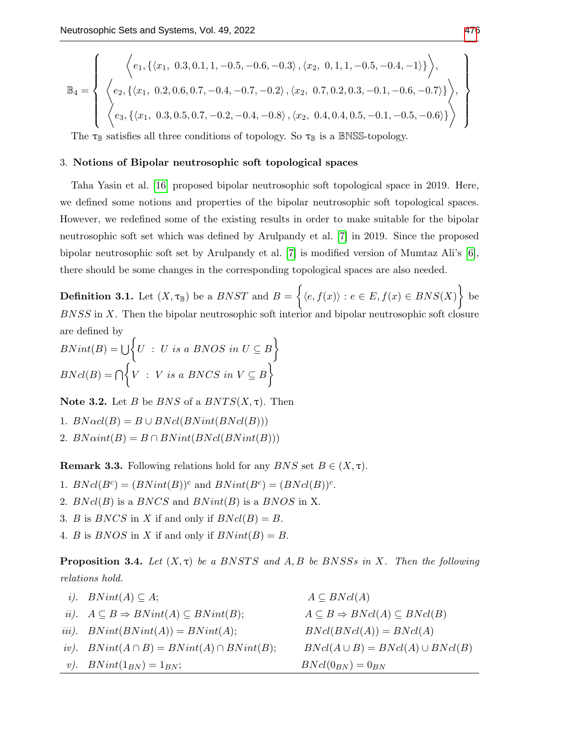$$
\mathbb{B}_{4} = \left\{ \begin{array}{c} \left\langle e_{1}, \left\{ \langle x_{1}, 0.3, 0.1, 1, -0.5, -0.6, -0.3 \rangle, \langle x_{2}, 0, 1, 1, -0.5, -0.4, -1 \rangle \right\} \right\rangle, \\ \left\langle e_{2}, \left\{ \langle x_{1}, 0.2, 0.6, 0.7, -0.4, -0.7, -0.2 \rangle, \langle x_{2}, 0.7, 0.2, 0.3, -0.1, -0.6, -0.7 \rangle \right\} \right\rangle, \\ \left\langle e_{3}, \left\{ \langle x_{1}, 0.3, 0.5, 0.7, -0.2, -0.4, -0.8 \rangle, \langle x_{2}, 0.4, 0.4, 0.5, -0.1, -0.5, -0.6 \rangle \right\} \right\rangle \end{array} \right\}
$$

The  $\tau_{\mathbb{B}}$  satisfies all three conditions of topology. So  $\tau_{\mathbb{B}}$  is a BNSS-topology.

### 3. Notions of Bipolar neutrosophic soft topological spaces

Taha Yasin et al. [\[16\]](#page-13-3) proposed bipolar neutrosophic soft topological space in 2019. Here, we defined some notions and properties of the bipolar neutrosophic soft topological spaces. However, we redefined some of the existing results in order to make suitable for the bipolar neutrosophic soft set which was defined by Arulpandy et al. [\[7\]](#page-12-6) in 2019. Since the proposed bipolar neutrosophic soft set by Arulpandy et al. [\[7\]](#page-12-6) is modified version of Mumtaz Ali's [\[6\]](#page-12-5), there should be some changes in the corresponding topological spaces are also needed.

**Definition 3.1.** Let  $(X, \tau_{\mathbb{B}})$  be a  $BNST$  and  $B = \{ \langle e, f(x) \rangle : e \in E, f(x) \in BNS(X) \}$  be BNSS in X. Then the bipolar neutrosophic soft interior and bipolar neutrosophic soft closure are defined by

 $BNint(B) = \bigcup \Big\{ U : U \text{ is a BNOS in } U \subseteq B \Big\}$  $BNcl(B) = \bigcap \Big\{V : V \text{ is a } BNCS \text{ in } V \subseteq B\Big\}$ 

Note 3.2. Let B be BNS of a  $BNTS(X, \tau)$ . Then

1.  $BN\alpha cl(B) = B \cup BNcl(BNint(BNcl(B)))$ 

<span id="page-5-0"></span>2.  $BNaint(B) = B \cap BNint(BNcl(BNint(B)))$ 

**Remark 3.3.** Following relations hold for any  $BNS$  set  $B \in (X, \tau)$ .

1.  $BNcl(B^c) = (BNint(B))^c$  and  $BNint(B^c) = (BNcl(B))^c$ .

- 2.  $BNcl(B)$  is a  $BNCS$  and  $BNint(B)$  is a  $BNOS$  in X.
- 3. B is BNCS in X if and only if  $BNd(B) = B$ .
- 4. B is BNOS in X if and only if  $BNint(B) = B$ .

**Proposition 3.4.** Let  $(X, \tau)$  be a BNSTS and A, B be BNSSs in X. Then the following relations hold.

| <i>i</i> ). $BNint(A) \subseteq A$ ;                                  | $A \subseteq BNd(A)$                                  |
|-----------------------------------------------------------------------|-------------------------------------------------------|
| <i>ii</i> ). $A \subseteq B \Rightarrow BNint(A) \subseteq BNint(B);$ | $A \subseteq B \Rightarrow BNcl(A) \subseteq BNcl(B)$ |
| iii). $BNint(BNint(A)) = BNint(A);$                                   | $BNcl(BNcl(A)) = BNcl(A)$                             |
| iv). $BNint(A \cap B) = BNint(A) \cap BNint(B);$                      | $BNcl(A\cup B) = BNcl(A)\cup BNcl(B)$                 |
| <i>v</i> ). $BNint(1_{BN}) = 1_{BN};$                                 | $BNcl(0_{BN})=0_{BN}$                                 |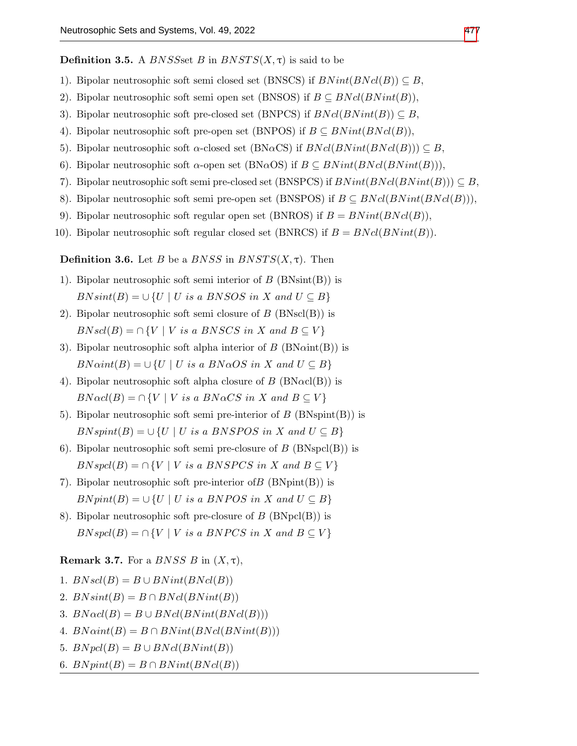**Definition 3.5.** A *BNSSset B* in  $BNSTS(X, \tau)$  is said to be

- 1). Bipolar neutrosophic soft semi closed set (BNSCS) if  $BNint(BNcl(B)) \subseteq B$ ,
- 2). Bipolar neutrosophic soft semi open set (BNSOS) if  $B \subseteq BNcl(BNint(B)),$
- 3). Bipolar neutrosophic soft pre-closed set (BNPCS) if  $BNcl(BNint(B)) \subseteq B$ ,
- 4). Bipolar neutrosophic soft pre-open set (BNPOS) if  $B \subseteq BNint(BNcl(B))$ ,
- 5). Bipolar neutrosophic soft  $\alpha$ -closed set (BN $\alpha$ CS) if  $BNcl(BNint(BNcl(B))) \subseteq B$ ,
- 6). Bipolar neutrosophic soft  $\alpha$ -open set (BN $\alpha$ OS) if  $B \subseteq BNint(BNol(BNint(B))),$
- 7). Bipolar neutrosophic soft semi pre-closed set (BNSPCS) if  $BNint(BNcl(BNint(B))) \subseteq B$ ,
- 8). Bipolar neutrosophic soft semi pre-open set (BNSPOS) if  $B \subseteq BNcl(BNint(BNcl(B))),$
- 9). Bipolar neutrosophic soft regular open set (BNROS) if  $B = BNint(BNcl(B)),$
- 10). Bipolar neutrosophic soft regular closed set (BNRCS) if  $B = BNcl(BNint(B))$ .

**Definition 3.6.** Let B be a BNSS in BNSTS $(X, \tau)$ . Then

- 1). Bipolar neutrosophic soft semi interior of  $B$  (BNsint(B)) is  $B N sint(B) = \cup \{U \mid U \text{ is a } B N SOS \text{ in } X \text{ and } U \subseteq B\}$
- 2). Bipolar neutrosophic soft semi closure of  $B(\text{BNscl}(B))$  is  $BNscl(B) = \bigcap \{V \mid V \text{ is a BNSCS in } X \text{ and } B \subseteq V\}$
- 3). Bipolar neutrosophic soft alpha interior of  $B$  (BN $\alpha$ int(B)) is  $BNaint(B) = \cup \{U \mid U \text{ is a } BNaOS \text{ in } X \text{ and } U \subseteq B\}$
- 4). Bipolar neutrosophic soft alpha closure of  $B$  (BN $\alpha$ cl(B)) is  $BN \alpha cl(B) = \cap \{V \mid V \text{ is a } BN \alpha CS \text{ in } X \text{ and } B \subseteq V\}$
- 5). Bipolar neutrosophic soft semi pre-interior of  $B$  (BNspint(B)) is  $BN\text{spint}(B) = \bigcup \{U \mid U \text{ is a } BNSPOS \text{ in } X \text{ and } U \subseteq B\}$
- 6). Bipolar neutrosophic soft semi pre-closure of  $B$  (BNspcl(B)) is  $BNspcl(B) = \cap \{V \mid V \text{ is a } BNSPCS \text{ in } X \text{ and } B \subseteq V\}$
- 7). Bipolar neutrosophic soft pre-interior of  $B$  (BNpint(B)) is  $BNpint(B) = \cup \{U \mid U \text{ is a } BNPOS \text{ in } X \text{ and } U \subseteq B\}$
- 8). Bipolar neutrosophic soft pre-closure of  $B$  (BNpcl(B)) is  $BNspcl(B) = \bigcap \{V \mid V \text{ is a } BNPCS \text{ in } X \text{ and } B \subseteq V\}$

## **Remark 3.7.** For a *BNSS B* in  $(X, \tau)$ ,

- 1.  $BNscl(B) = B \cup BNint(BNcl(B))$
- 2.  $BNsint(B) = B \cap BNcl(BNint(B))$
- 3.  $BN \alpha cl(B) = B \cup BN cl(BN int(BN cl(B)))$
- 4.  $BNaint(B) = B \cap BNint(BNcl(BNint(B)))$
- 5.  $BNpcl(B) = B \cup BNcl(BNint(B))$
- 6.  $BNpint(B) = B \cap BNint(BNcl(B))$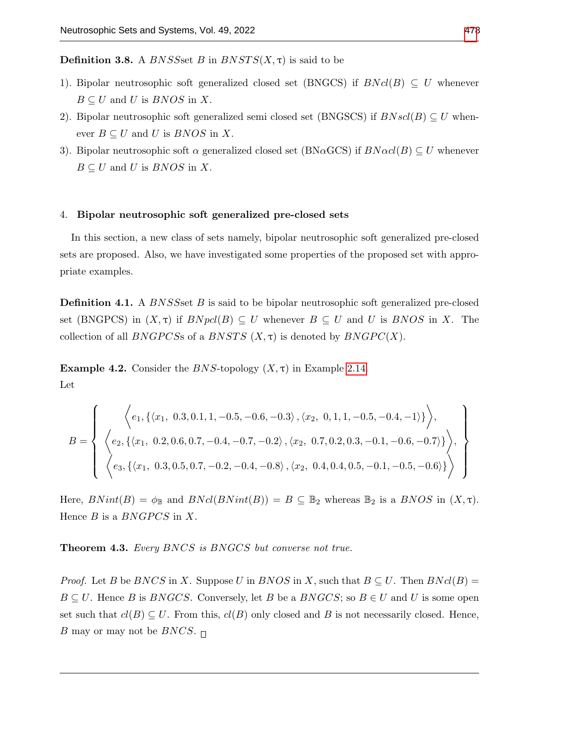**Definition 3.8.** A *BNSSset B* in  $BNSTS(X, \tau)$  is said to be

- 1). Bipolar neutrosophic soft generalized closed set (BNGCS) if  $BNcl(B) \subseteq U$  whenever  $B \subseteq U$  and U is  $BNOS$  in X.
- 2). Bipolar neutrosophic soft generalized semi closed set (BNGSCS) if  $BN\,sl(1B) \subset U$  whenever  $B \subseteq U$  and U is  $BNOS$  in X.
- 3). Bipolar neutrosophic soft  $\alpha$  generalized closed set (BN $\alpha$ GCS) if  $BN\alpha$ d $(B) \subseteq U$  whenever  $B \subseteq U$  and U is  $BNOS$  in X.

## 4. Bipolar neutrosophic soft generalized pre-closed sets

In this section, a new class of sets namely, bipolar neutrosophic soft generalized pre-closed sets are proposed. Also, we have investigated some properties of the proposed set with appropriate examples.

**Definition 4.1.** A *BNSSset B* is said to be bipolar neutrosophic soft generalized pre-closed set (BNGPCS) in  $(X, \tau)$  if  $BNpcl(B) \subseteq U$  whenever  $B \subseteq U$  and U is  $BNOS$  in X. The collection of all BNGPCSs of a BNSTS  $(X, \tau)$  is denoted by BNGPC $(X)$ .

Example 4.2. Consider the BNS-topology  $(X, \tau)$  in Example [2.14.](#page-4-0) Let

$$
B = \left\{ \begin{array}{c} \left\langle e_1, \left\{ \langle x_1, 0.3, 0.1, 1, -0.5, -0.6, -0.3 \rangle, \langle x_2, 0, 1, 1, -0.5, -0.4, -1 \rangle \right\} \right\rangle, \\ \left\langle e_2, \left\{ \langle x_1, 0.2, 0.6, 0.7, -0.4, -0.7, -0.2 \rangle, \langle x_2, 0.7, 0.2, 0.3, -0.1, -0.6, -0.7 \rangle \right\} \right\rangle, \\ \left\langle e_3, \left\{ \langle x_1, 0.3, 0.5, 0.7, -0.2, -0.4, -0.8 \rangle, \langle x_2, 0.4, 0.4, 0.5, -0.1, -0.5, -0.6 \rangle \right\} \right\rangle \end{array} \right\}
$$

Here,  $BNint(B) = \phi_{\mathbb{B}}$  and  $BNcl(BNint(B)) = B \subseteq \mathbb{B}_2$  whereas  $\mathbb{B}_2$  is a  $BNOS$  in  $(X, \tau)$ . Hence  $B$  is a  $BNGPCS$  in  $X$ .

Theorem 4.3. Every BNCS is BNGCS but converse not true.

*Proof.* Let B be BNCS in X. Suppose U in BNOS in X, such that  $B \subseteq U$ . Then  $B(Nc(B))$  $B \subseteq U$ . Hence B is BNGCS. Conversely, let B be a BNGCS; so  $B \in U$  and U is some open set such that  $cl(B) \subseteq U$ . From this,  $cl(B)$  only closed and B is not necessarily closed. Hence, B may or may not be BNCS.  $\Box$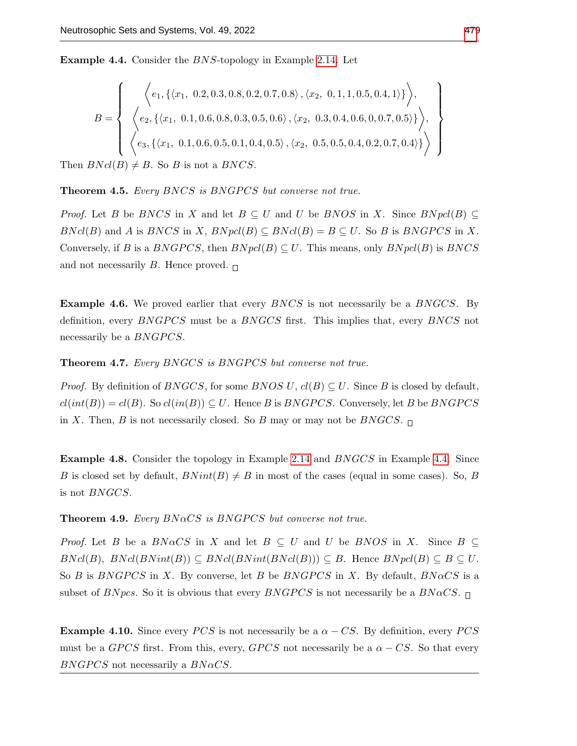<span id="page-8-0"></span>Example 4.4. Consider the BNS-topology in Example [2.14.](#page-4-0) Let

$$
B = \left\{ \begin{array}{c} \left\langle e_1, \left\{ \langle x_1, 0.2, 0.3, 0.8, 0.2, 0.7, 0.8 \rangle, \langle x_2, 0, 1, 1, 0.5, 0.4, 1 \rangle \right\} \right\rangle, \\ \left\langle e_2, \left\{ \langle x_1, 0.1, 0.6, 0.8, 0.3, 0.5, 0.6 \rangle, \langle x_2, 0.3, 0.4, 0.6, 0, 0.7, 0.5 \rangle \right\} \right\rangle, \\ \left\langle e_3, \left\{ \langle x_1, 0.1, 0.6, 0.5, 0.1, 0.4, 0.5 \rangle, \langle x_2, 0.5, 0.5, 0.4, 0.2, 0.7, 0.4 \rangle \right\} \right\rangle \end{array} \right\}
$$

Then  $B(Ncl(B) \neq B$ . So B is not a BNCS.

Theorem 4.5. Every BNCS is BNGPCS but converse not true.

*Proof.* Let B be BNCS in X and let  $B \subseteq U$  and U be BNOS in X. Since  $BNpel(B) \subseteq$  $BNcl(B)$  and A is  $BNCS$  in X,  $BNpel(B) \subseteq BNcl(B) = B \subseteq U$ . So B is  $BNGPCS$  in X. Conversely, if B is a BNGPCS, then  $BNpel(B) \subseteq U$ . This means, only  $BNpel(B)$  is BNCS and not necessarily B. Hence proved.  $\Box$ 

**Example 4.6.** We proved earlier that every *BNCS* is not necessarily be a *BNGCS*. By definition, every  $BNGPCS$  must be a  $BNGCS$  first. This implies that, every  $BNCS$  not necessarily be a *BNGPCS*.

Theorem 4.7. Every BNGCS is BNGPCS but converse not true.

*Proof.* By definition of  $BNGCS$ , for some  $BNOS$  U,  $cl(B) \subseteq U$ . Since B is closed by default,  $cl(int(B)) = cl(B)$ . So  $cl(in(B)) \subseteq U$ . Hence B is BNGPCS. Conversely, let B be BNGPCS in X. Then, B is not necessarily closed. So B may or may not be  $BNGCS$ .

Example 4.8. Consider the topology in Example [2.14](#page-4-0) and BNGCS in Example [4.4.](#page-8-0) Since B is closed set by default,  $BNint(B) \neq B$  in most of the cases (equal in some cases). So, B is not BNGCS.

**Theorem 4.9.** Every  $BNaCS$  is  $BNGPCS$  but converse not true.

*Proof.* Let B be a  $BN\alpha CS$  in X and let  $B \subseteq U$  and U be BNOS in X. Since  $B \subseteq$  $BNcl(B), BNcl(BNint(B)) \subseteq BNcl(BNint(BNcl(B))) \subseteq B$ . Hence  $BNpl(B) \subseteq B \subseteq U$ . So B is BNGPCS in X. By converse, let B be BNGPCS in X. By default,  $B N \alpha CS$  is a subset of BNpcs. So it is obvious that every BNGPCS is not necessarily be a  $B N \alpha CS$ .

**Example 4.10.** Since every PCS is not necessarily be a  $\alpha$  – CS. By definition, every PCS must be a GPCS first. From this, every, GPCS not necessarily be a  $\alpha - CS$ . So that every  $BNGPCS$  not necessarily a  $BNaCS$ .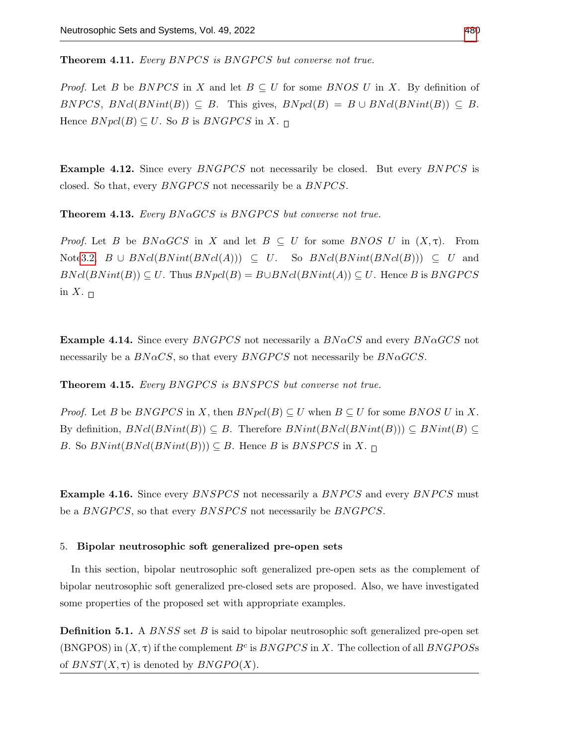**Theorem 4.11.** Every BNPCS is BNGPCS but converse not true.

*Proof.* Let B be BNPCS in X and let  $B \subseteq U$  for some BNOS U in X. By definition of BNPCS,  $BNcl(BNint(B)) \subseteq B$ . This gives,  $BNpcl(B) = B \cup BNcl(BNint(B)) \subseteq B$ . Hence  $BNpcl(B) \subseteq U$ . So B is  $BNGPCS$  in X.  $\Box$ 

**Example 4.12.** Since every *BNGPCS* not necessarily be closed. But every *BNPCS* is closed. So that, every *BNGPCS* not necessarily be a *BNPCS*.

**Theorem 4.13.** Every  $BNaGCS$  is  $BNGPCS$  but converse not true.

*Proof.* Let B be  $B\Lambda \alpha GCS$  in X and let  $B \subseteq U$  for some BNOS U in  $(X,\tau)$ . From Not[e3.2,](#page-5-0)  $B \cup BNcl(BNint(BNcl(A))) \subseteq U$ . So  $BNcl(BNint(BNcl(B))) \subseteq U$  and  $BNcl(BNint(B)) \subseteq U$ . Thus  $BNpel(B) = B\cup BNcl(BNint(A)) \subseteq U$ . Hence B is  $BNGPCS$ in X.  $\sqcap$ 

**Example 4.14.** Since every *BNGPCS* not necessarily a  $BNaCS$  and every *BNaGCS* not necessarily be a  $B N \alpha CS$ , so that every  $B N G P C S$  not necessarily be  $B N \alpha G C S$ .

**Theorem 4.15.** Every BNGPCS is BNSPCS but converse not true.

*Proof.* Let B be BNGPCS in X, then  $BNpel(B) \subseteq U$  when  $B \subseteq U$  for some BNOS U in X. By definition,  $BNcl(BNint(B)) \subseteq B$ . Therefore  $BNint(BNint(B)) \subseteq BNint(B) \subseteq BNint(B)$ B. So  $BNint(BNint(B)) \subseteq B$ . Hence B is  $BNSPCS$  in X.  $\Box$ 

**Example 4.16.** Since every *BNSPCS* not necessarily a *BNPCS* and every *BNPCS* must be a BNGPCS, so that every BNSPCS not necessarily be BNGPCS.

### 5. Bipolar neutrosophic soft generalized pre-open sets

In this section, bipolar neutrosophic soft generalized pre-open sets as the complement of bipolar neutrosophic soft generalized pre-closed sets are proposed. Also, we have investigated some properties of the proposed set with appropriate examples.

**Definition 5.1.** A *BNSS* set  $B$  is said to bipolar neutrosophic soft generalized pre-open set (BNGPOS) in  $(X, \tau)$  if the complement  $B^c$  is  $BNGPCS$  in X. The collection of all  $BNGPOS$ of  $BNST(X, \tau)$  is denoted by  $BNGPO(X)$ .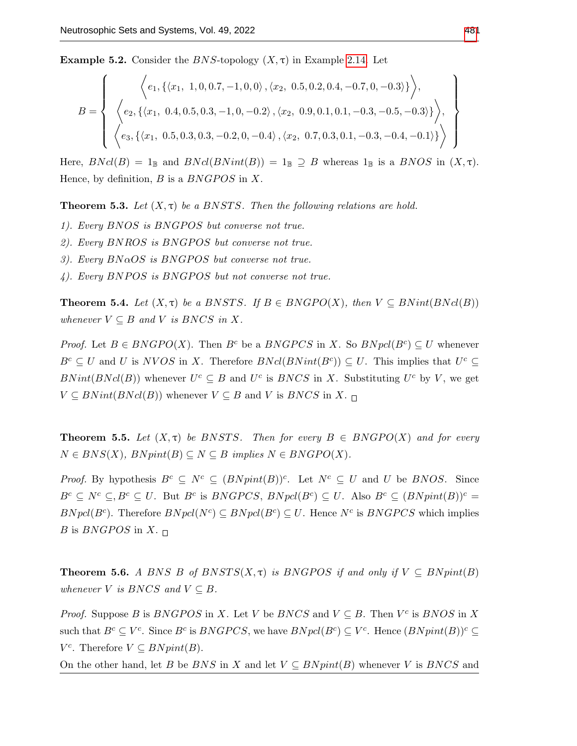**Example 5.2.** Consider the BNS-topology  $(X, \tau)$  in Example [2.14.](#page-4-0) Let

$$
B = \left\{ \begin{array}{c} \left\langle e_1, \left\{ \langle x_1, 1, 0, 0.7, -1, 0, 0 \rangle, \langle x_2, 0.5, 0.2, 0.4, -0.7, 0, -0.3 \rangle \right\} \right\rangle, \\ \left\langle e_2, \left\{ \langle x_1, 0.4, 0.5, 0.3, -1, 0, -0.2 \rangle, \langle x_2, 0.9, 0.1, 0.1, -0.3, -0.5, -0.3 \rangle \right\} \right\rangle, \\ \left\langle e_3, \left\{ \langle x_1, 0.5, 0.3, 0.3, -0.2, 0, -0.4 \rangle, \langle x_2, 0.7, 0.3, 0.1, -0.3, -0.4, -0.1 \rangle \right\} \right\rangle \end{array} \right\}
$$

Here,  $BNCl(B) = 1_{\mathbb{B}}$  and  $BNCl(BNint(B)) = 1_{\mathbb{B}} \supseteq B$  whereas  $1_{\mathbb{B}}$  is a  $BNOS$  in  $(X, \tau)$ . Hence, by definition,  $B$  is a  $BNGPOS$  in  $X$ .

**Theorem 5.3.** Let  $(X, \tau)$  be a BNSTS. Then the following relations are hold.

- 1). Every BNOS is BNGPOS but converse not true.
- 2). Every  $BNROS$  is  $BNGPOS$  but converse not true.
- 3). Every  $BNaOS$  is BNGPOS but converse not true.
- $4)$ . Every BNPOS is BNGPOS but not converse not true.

**Theorem 5.4.** Let  $(X, \tau)$  be a BNSTS. If  $B \in BNGPO(X)$ , then  $V \subseteq BNint(BNcl(B))$ whenever  $V \subseteq B$  and V is  $B NCS$  in X.

*Proof.* Let  $B \in BNGPO(X)$ . Then  $B^c$  be a  $BNGPCS$  in X. So  $BNpel(B^c) \subseteq U$  whenever  $B^c \subseteq U$  and U is NVOS in X. Therefore  $BNd(BNint(B^c)) \subseteq U$ . This implies that  $U^c \subseteq$  $BNint(BNcl(B))$  whenever  $U^c \subseteq B$  and  $U^c$  is  $BNCS$  in X. Substituting  $U^c$  by V, we get  $V \subseteq BNint(BNcl(B))$  whenever  $V \subseteq B$  and V is  $BNCS$  in X.  $\Box$ 

**Theorem 5.5.** Let  $(X, \tau)$  be BNSTS. Then for every  $B \in BNGPO(X)$  and for every  $N \in BNS(X)$ ,  $BNpint(B) \subset N \subset B$  implies  $N \in BNGPO(X)$ .

*Proof.* By hypothesis  $B^c \subseteq N^c \subseteq (BNpint(B))^c$ . Let  $N^c \subseteq U$  and U be BNOS. Since  $B^c \subseteq N^c \subseteq N^c \subseteq U$ . But  $B^c$  is  $BNGPCS$ ,  $BNpd(B^c) \subseteq U$ . Also  $B^c \subseteq (BNpint(B))^c =$  $BNpel(B<sup>c</sup>)$ . Therefore  $BNpel(N<sup>c</sup>) \subseteq BNpel(B<sup>c</sup>) \subseteq U$ . Hence  $N<sup>c</sup>$  is  $BNGPCS$  which implies B is BNGPOS in X.  $\Box$ 

**Theorem 5.6.** A BNS B of  $BNSTS(X,\tau)$  is BNGPOS if and only if  $V \subseteq BNprint(B)$ whenever V is BNCS and  $V \subseteq B$ .

*Proof.* Suppose B is BNGPOS in X. Let V be BNCS and  $V \subseteq B$ . Then  $V^c$  is BNOS in X such that  $B^c \subseteq V^c$ . Since  $B^c$  is  $BNGPCS$ , we have  $BNpel(B^c) \subseteq V^c$ . Hence  $(BNpint(B))^c \subseteq$  $V^c$ . Therefore  $V \subseteq BNpint(B)$ .

On the other hand, let B be BNS in X and let  $V \subseteq B N pint(B)$  whenever V is BNCS and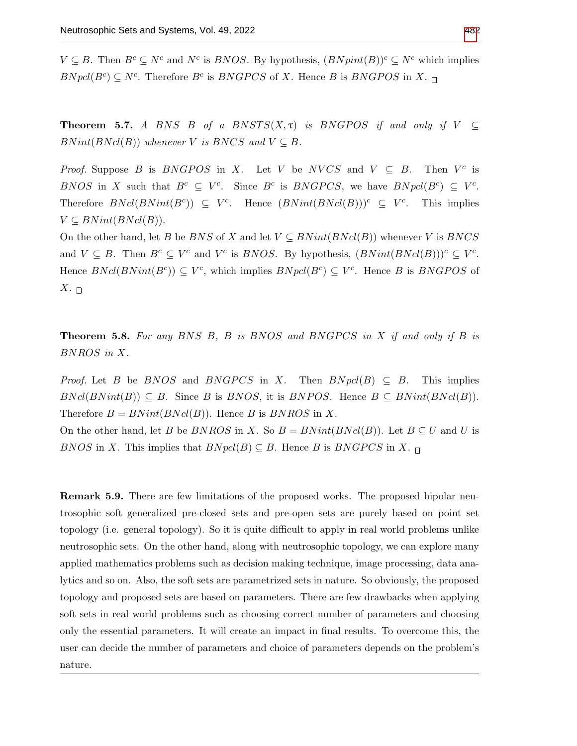$V \subseteq B$ . Then  $B^c \subseteq N^c$  and  $N^c$  is *BNOS*. By hypothesis,  $(BNpint(B))^c \subseteq N^c$  which implies  $BNpel(B<sup>c</sup>) \subseteq N<sup>c</sup>$ . Therefore  $B<sup>c</sup>$  is  $BNGPCS$  of X. Hence B is  $BNGPOS$  in X.

**Theorem 5.7.** A BNS B of a BNSTS( $X, \tau$ ) is BNGPOS if and only if  $V \subset$  $BNint(BNcl(B))$  whenever V is BNCS and  $V \subseteq B$ .

*Proof.* Suppose B is BNGPOS in X. Let V be NVCS and  $V \subseteq B$ . Then  $V^c$  is BNOS in X such that  $B^c \subseteq V^c$ . Since  $B^c$  is BNGPCS, we have  $BNpel(B^c) \subseteq V^c$ . Therefore  $BNd(BNint(B^c)) \subseteq V^c$ . Hence  $(BNint(BNcl(B)))^c \subseteq V^c$ . This implies  $V \subseteq BNint(BNcl(B)).$ 

On the other hand, let B be BNS of X and let  $V \subseteq BNint(BNcl(B))$  whenever V is BNCS and  $V \subseteq B$ . Then  $B^c \subseteq V^c$  and  $V^c$  is *BNOS*. By hypothesis,  $(BNint(BNd(B)))^c \subseteq V^c$ . Hence  $BNcl(BNint(B^c)) \subseteq V^c$ , which implies  $BNpcl(B^c) \subseteq V^c$ . Hence B is BNGPOS of  $X_{\cdot \ \sqcap}$ 

**Theorem 5.8.** For any BNS B, B is BNOS and BNGPCS in X if and only if B is BNROS in X.

*Proof.* Let B be BNOS and BNGPCS in X. Then  $BNpel(B) \subseteq B$ . This implies  $BNcl(BNint(B)) \subseteq B$ . Since B is BNOS, it is BNPOS. Hence  $B \subseteq BNint(BNcl(B)).$ Therefore  $B = BNint(BNcl(B))$ . Hence B is BNROS in X.

On the other hand, let B be  $BNROS$  in X. So  $B = BNint(BNcl(B))$ . Let  $B \subseteq U$  and U is BNOS in X. This implies that  $BNpel(B) \subseteq B$ . Hence B is BNGPCS in X.  $\sqcap$ 

Remark 5.9. There are few limitations of the proposed works. The proposed bipolar neutrosophic soft generalized pre-closed sets and pre-open sets are purely based on point set topology (i.e. general topology). So it is quite difficult to apply in real world problems unlike neutrosophic sets. On the other hand, along with neutrosophic topology, we can explore many applied mathematics problems such as decision making technique, image processing, data analytics and so on. Also, the soft sets are parametrized sets in nature. So obviously, the proposed topology and proposed sets are based on parameters. There are few drawbacks when applying soft sets in real world problems such as choosing correct number of parameters and choosing only the essential parameters. It will create an impact in final results. To overcome this, the user can decide the number of parameters and choice of parameters depends on the problem's nature.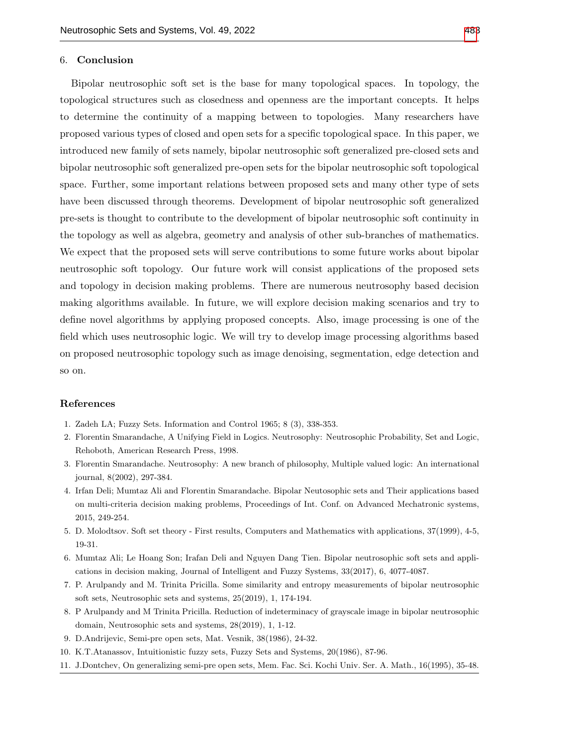## 6. Conclusion

Bipolar neutrosophic soft set is the base for many topological spaces. In topology, the topological structures such as closedness and openness are the important concepts. It helps to determine the continuity of a mapping between to topologies. Many researchers have proposed various types of closed and open sets for a specific topological space. In this paper, we introduced new family of sets namely, bipolar neutrosophic soft generalized pre-closed sets and bipolar neutrosophic soft generalized pre-open sets for the bipolar neutrosophic soft topological space. Further, some important relations between proposed sets and many other type of sets have been discussed through theorems. Development of bipolar neutrosophic soft generalized pre-sets is thought to contribute to the development of bipolar neutrosophic soft continuity in the topology as well as algebra, geometry and analysis of other sub-branches of mathematics. We expect that the proposed sets will serve contributions to some future works about bipolar neutrosophic soft topology. Our future work will consist applications of the proposed sets and topology in decision making problems. There are numerous neutrosophy based decision making algorithms available. In future, we will explore decision making scenarios and try to define novel algorithms by applying proposed concepts. Also, image processing is one of the field which uses neutrosophic logic. We will try to develop image processing algorithms based on proposed neutrosophic topology such as image denoising, segmentation, edge detection and so on.

## References

- <span id="page-12-0"></span>1. Zadeh LA; Fuzzy Sets. Information and Control 1965; 8 (3), 338-353.
- <span id="page-12-1"></span>2. Florentin Smarandache, A Unifying Field in Logics. Neutrosophy: Neutrosophic Probability, Set and Logic, Rehoboth, American Research Press, 1998.
- <span id="page-12-2"></span>3. Florentin Smarandache. Neutrosophy: A new branch of philosophy, Multiple valued logic: An international journal, 8(2002), 297-384.
- <span id="page-12-4"></span>4. Irfan Deli; Mumtaz Ali and Florentin Smarandache. Bipolar Neutosophic sets and Their applications based on multi-criteria decision making problems, Proceedings of Int. Conf. on Advanced Mechatronic systems, 2015, 249-254.
- <span id="page-12-3"></span>5. D. Molodtsov. Soft set theory - First results, Computers and Mathematics with applications, 37(1999), 4-5, 19-31.
- <span id="page-12-5"></span>6. Mumtaz Ali; Le Hoang Son; Irafan Deli and Nguyen Dang Tien. Bipolar neutrosophic soft sets and applications in decision making, Journal of Intelligent and Fuzzy Systems, 33(2017), 6, 4077-4087.
- <span id="page-12-6"></span>7. P. Arulpandy and M. Trinita Pricilla. Some similarity and entropy measurements of bipolar neutrosophic soft sets, Neutrosophic sets and systems, 25(2019), 1, 174-194.
- <span id="page-12-7"></span>8. P Arulpandy and M Trinita Pricilla. Reduction of indeterminacy of grayscale image in bipolar neutrosophic domain, Neutrosophic sets and systems, 28(2019), 1, 1-12.
- <span id="page-12-8"></span>9. D.Andrijevic, Semi-pre open sets, Mat. Vesnik, 38(1986), 24-32.
- 10. K.T.Atanassov, Intuitionistic fuzzy sets, Fuzzy Sets and Systems, 20(1986), 87-96.
- <span id="page-12-9"></span>11. J.Dontchev, On generalizing semi-pre open sets, Mem. Fac. Sci. Kochi Univ. Ser. A. Math., 16(1995), 35-48.